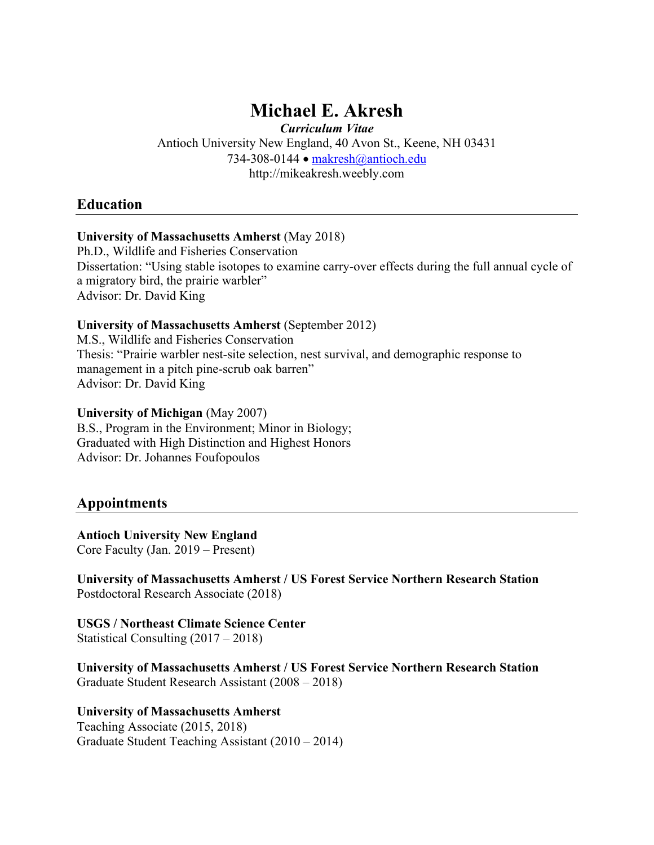# **Michael E. Akresh**

*Curriculum Vitae* Antioch University New England, 40 Avon St., Keene, NH 03431 734-308-0144 • makresh@antioch.edu http://mikeakresh.weebly.com

### **Education**

#### **University of Massachusetts Amherst** (May 2018)

Ph.D., Wildlife and Fisheries Conservation Dissertation: "Using stable isotopes to examine carry-over effects during the full annual cycle of a migratory bird, the prairie warbler" Advisor: Dr. David King

### **University of Massachusetts Amherst** (September 2012)

M.S., Wildlife and Fisheries Conservation Thesis: "Prairie warbler nest-site selection, nest survival, and demographic response to management in a pitch pine-scrub oak barren" Advisor: Dr. David King

#### **University of Michigan** (May 2007)

B.S., Program in the Environment; Minor in Biology; Graduated with High Distinction and Highest Honors Advisor: Dr. Johannes Foufopoulos

# **Appointments**

### **Antioch University New England**

Core Faculty (Jan. 2019 – Present)

**University of Massachusetts Amherst / US Forest Service Northern Research Station** Postdoctoral Research Associate (2018)

**USGS / Northeast Climate Science Center** Statistical Consulting (2017 – 2018)

**University of Massachusetts Amherst / US Forest Service Northern Research Station** Graduate Student Research Assistant (2008 – 2018)

### **University of Massachusetts Amherst**

Teaching Associate (2015, 2018) Graduate Student Teaching Assistant (2010 – 2014)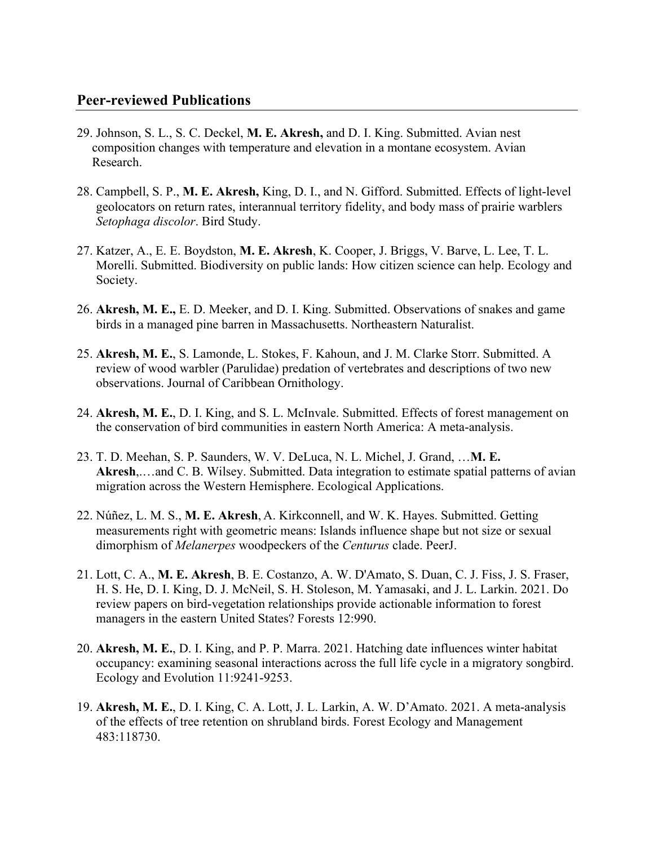# **Peer-reviewed Publications**

- 29. Johnson, S. L., S. C. Deckel, **M. E. Akresh,** and D. I. King. Submitted. Avian nest composition changes with temperature and elevation in a montane ecosystem. Avian Research.
- 28. Campbell, S. P., **M. E. Akresh,** King, D. I., and N. Gifford. Submitted. Effects of light-level geolocators on return rates, interannual territory fidelity, and body mass of prairie warblers *Setophaga discolor*. Bird Study.
- 27. Katzer, A., E. E. Boydston, **M. E. Akresh**, K. Cooper, J. Briggs, V. Barve, L. Lee, T. L. Morelli. Submitted. Biodiversity on public lands: How citizen science can help. Ecology and Society.
- 26. **Akresh, M. E.,** E. D. Meeker, and D. I. King. Submitted. Observations of snakes and game birds in a managed pine barren in Massachusetts. Northeastern Naturalist.
- 25. **Akresh, M. E.**, S. Lamonde, L. Stokes, F. Kahoun, and J. M. Clarke Storr. Submitted. A review of wood warbler (Parulidae) predation of vertebrates and descriptions of two new observations. Journal of Caribbean Ornithology.
- 24. **Akresh, M. E.**, D. I. King, and S. L. McInvale. Submitted. Effects of forest management on the conservation of bird communities in eastern North America: A meta-analysis.
- 23. T. D. Meehan, S. P. Saunders, W. V. DeLuca, N. L. Michel, J. Grand, …**M. E. Akresh**,.…and C. B. Wilsey. Submitted. Data integration to estimate spatial patterns of avian migration across the Western Hemisphere. Ecological Applications.
- 22. Núñez, L. M. S., **M. E. Akresh**, A. Kirkconnell, and W. K. Hayes. Submitted. Getting measurements right with geometric means: Islands influence shape but not size or sexual dimorphism of *Melanerpes* woodpeckers of the *Centurus* clade. PeerJ.
- 21. Lott, C. A., **M. E. Akresh**, B. E. Costanzo, A. W. D'Amato, S. Duan, C. J. Fiss, J. S. Fraser, H. S. He, D. I. King, D. J. McNeil, S. H. Stoleson, M. Yamasaki, and J. L. Larkin. 2021. Do review papers on bird-vegetation relationships provide actionable information to forest managers in the eastern United States? Forests 12:990.
- 20. **Akresh, M. E.**, D. I. King, and P. P. Marra. 2021. Hatching date influences winter habitat occupancy: examining seasonal interactions across the full life cycle in a migratory songbird. Ecology and Evolution 11:9241-9253.
- 19. **Akresh, M. E.**, D. I. King, C. A. Lott, J. L. Larkin, A. W. D'Amato. 2021. A meta-analysis of the effects of tree retention on shrubland birds. Forest Ecology and Management 483:118730.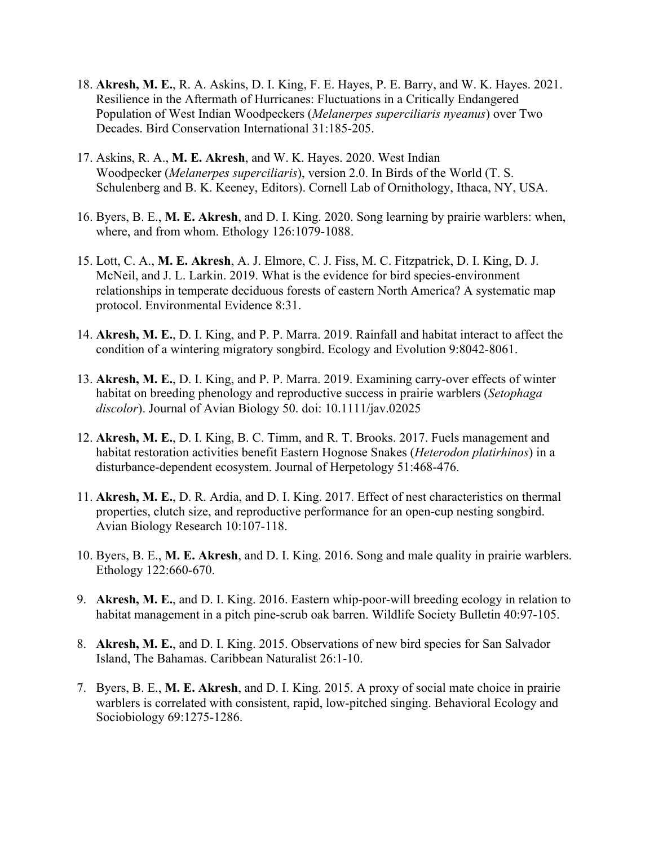- 18. **Akresh, M. E.**, R. A. Askins, D. I. King, F. E. Hayes, P. E. Barry, and W. K. Hayes. 2021. Resilience in the Aftermath of Hurricanes: Fluctuations in a Critically Endangered Population of West Indian Woodpeckers (*Melanerpes superciliaris nyeanus*) over Two Decades. Bird Conservation International 31:185-205.
- 17. Askins, R. A., **M. E. Akresh**, and W. K. Hayes. 2020. West Indian Woodpecker (*Melanerpes superciliaris*), version 2.0. In Birds of the World (T. S. Schulenberg and B. K. Keeney, Editors). Cornell Lab of Ornithology, Ithaca, NY, USA.
- 16. Byers, B. E., **M. E. Akresh**, and D. I. King. 2020. Song learning by prairie warblers: when, where, and from whom. Ethology 126:1079-1088.
- 15. Lott, C. A., **M. E. Akresh**, A. J. Elmore, C. J. Fiss, M. C. Fitzpatrick, D. I. King, D. J. McNeil, and J. L. Larkin. 2019. What is the evidence for bird species-environment relationships in temperate deciduous forests of eastern North America? A systematic map protocol. Environmental Evidence 8:31.
- 14. **Akresh, M. E.**, D. I. King, and P. P. Marra. 2019. Rainfall and habitat interact to affect the condition of a wintering migratory songbird. Ecology and Evolution 9:8042-8061.
- 13. **Akresh, M. E.**, D. I. King, and P. P. Marra. 2019. Examining carry-over effects of winter habitat on breeding phenology and reproductive success in prairie warblers (*Setophaga discolor*). Journal of Avian Biology 50. doi: 10.1111/jav.02025
- 12. **Akresh, M. E.**, D. I. King, B. C. Timm, and R. T. Brooks. 2017. Fuels management and habitat restoration activities benefit Eastern Hognose Snakes (*Heterodon platirhinos*) in a disturbance-dependent ecosystem. Journal of Herpetology 51:468-476.
- 11. **Akresh, M. E.**, D. R. Ardia, and D. I. King. 2017. Effect of nest characteristics on thermal properties, clutch size, and reproductive performance for an open-cup nesting songbird. Avian Biology Research 10:107-118.
- 10. Byers, B. E., **M. E. Akresh**, and D. I. King. 2016. Song and male quality in prairie warblers. Ethology 122:660-670.
- 9. **Akresh, M. E.**, and D. I. King. 2016. Eastern whip-poor-will breeding ecology in relation to habitat management in a pitch pine-scrub oak barren. Wildlife Society Bulletin 40:97-105.
- 8. **Akresh, M. E.**, and D. I. King. 2015. Observations of new bird species for San Salvador Island, The Bahamas. Caribbean Naturalist 26:1-10.
- 7. Byers, B. E., **M. E. Akresh**, and D. I. King. 2015. A proxy of social mate choice in prairie warblers is correlated with consistent, rapid, low-pitched singing. Behavioral Ecology and Sociobiology 69:1275-1286.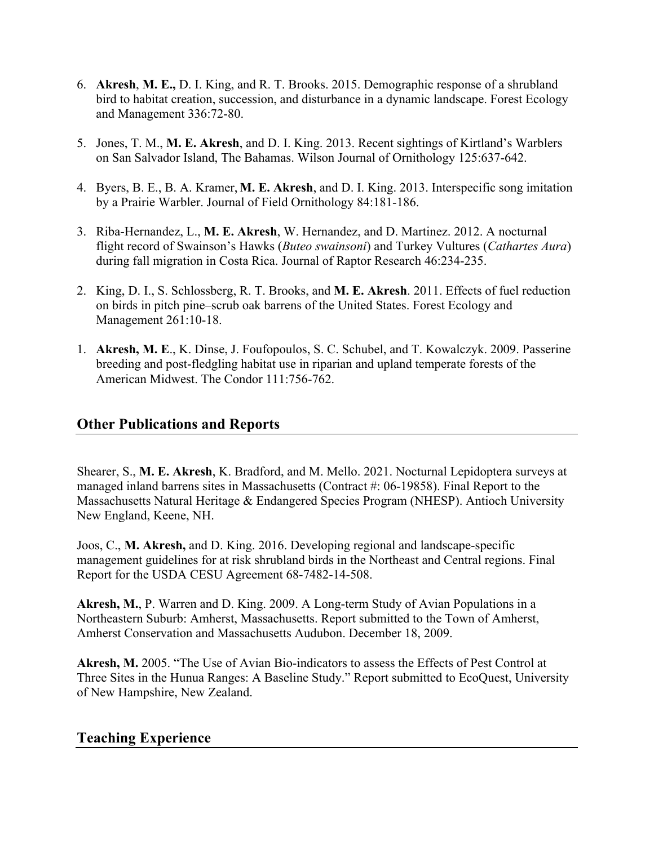- 6. **Akresh**, **M. E.,** D. I. King, and R. T. Brooks. 2015. Demographic response of a shrubland bird to habitat creation, succession, and disturbance in a dynamic landscape. Forest Ecology and Management 336:72-80.
- 5. Jones, T. M., **M. E. Akresh**, and D. I. King. 2013. Recent sightings of Kirtland's Warblers on San Salvador Island, The Bahamas. Wilson Journal of Ornithology 125:637-642.
- 4. Byers, B. E., B. A. Kramer, **M. E. Akresh**, and D. I. King. 2013. Interspecific song imitation by a Prairie Warbler. Journal of Field Ornithology 84:181-186.
- 3. Riba-Hernandez, L., **M. E. Akresh**, W. Hernandez, and D. Martinez. 2012. A nocturnal flight record of Swainson's Hawks (*Buteo swainsoni*) and Turkey Vultures (*Cathartes Aura*) during fall migration in Costa Rica. Journal of Raptor Research 46:234-235.
- 2. King, D. I., S. Schlossberg, R. T. Brooks, and **M. E. Akresh**. 2011. Effects of fuel reduction on birds in pitch pine–scrub oak barrens of the United States. Forest Ecology and Management 261:10-18.
- 1. **Akresh, M. E**., K. Dinse, J. Foufopoulos, S. C. Schubel, and T. Kowalczyk. 2009. Passerine breeding and post-fledgling habitat use in riparian and upland temperate forests of the American Midwest. The Condor 111:756-762.

# **Other Publications and Reports**

Shearer, S., **M. E. Akresh**, K. Bradford, and M. Mello. 2021. Nocturnal Lepidoptera surveys at managed inland barrens sites in Massachusetts (Contract #: 06-19858). Final Report to the Massachusetts Natural Heritage & Endangered Species Program (NHESP). Antioch University New England, Keene, NH.

Joos, C., **M. Akresh,** and D. King. 2016. Developing regional and landscape-specific management guidelines for at risk shrubland birds in the Northeast and Central regions. Final Report for the USDA CESU Agreement 68-7482-14-508.

**Akresh, M.**, P. Warren and D. King. 2009. A Long-term Study of Avian Populations in a Northeastern Suburb: Amherst, Massachusetts. Report submitted to the Town of Amherst, Amherst Conservation and Massachusetts Audubon. December 18, 2009.

**Akresh, M.** 2005. "The Use of Avian Bio-indicators to assess the Effects of Pest Control at Three Sites in the Hunua Ranges: A Baseline Study." Report submitted to EcoQuest, University of New Hampshire, New Zealand.

# **Teaching Experience**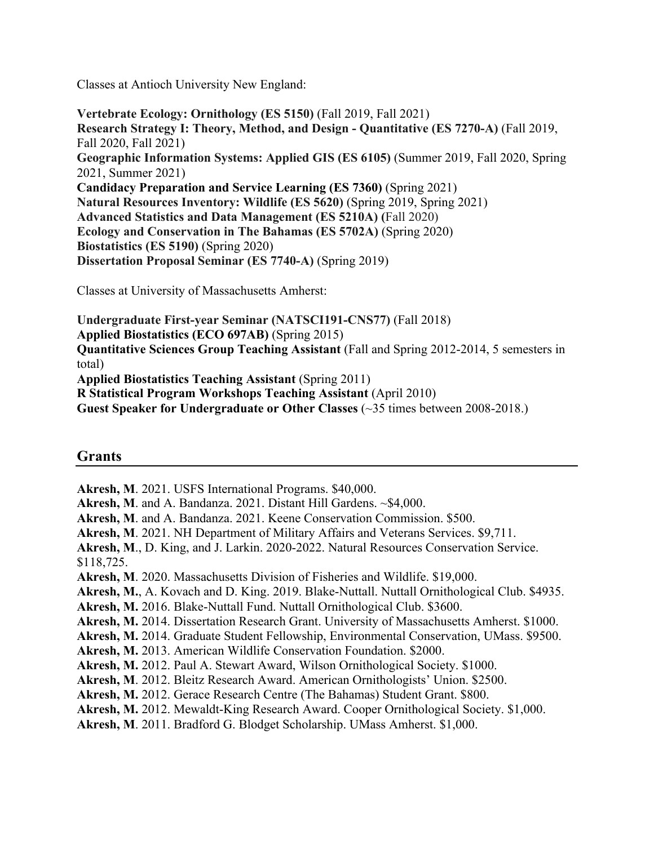Classes at Antioch University New England:

**Vertebrate Ecology: Ornithology (ES 5150)** (Fall 2019, Fall 2021) **Research Strategy I: Theory, Method, and Design - Quantitative (ES 7270-A)** (Fall 2019, Fall 2020, Fall 2021) **Geographic Information Systems: Applied GIS (ES 6105)** (Summer 2019, Fall 2020, Spring 2021, Summer 2021) **Candidacy Preparation and Service Learning (ES 7360)** (Spring 2021) **Natural Resources Inventory: Wildlife (ES 5620)** (Spring 2019, Spring 2021) **Advanced Statistics and Data Management (ES 5210A) (**Fall 2020) **Ecology and Conservation in The Bahamas (ES 5702A)** (Spring 2020) **Biostatistics (ES 5190)** (Spring 2020) **Dissertation Proposal Seminar (ES 7740-A)** (Spring 2019)

Classes at University of Massachusetts Amherst:

**Undergraduate First-year Seminar (NATSCI191-CNS77)** (Fall 2018) **Applied Biostatistics (ECO 697AB)** (Spring 2015) **Quantitative Sciences Group Teaching Assistant** (Fall and Spring 2012-2014, 5 semesters in total) **Applied Biostatistics Teaching Assistant** (Spring 2011) **R Statistical Program Workshops Teaching Assistant** (April 2010) **Guest Speaker for Undergraduate or Other Classes** (~35 times between 2008-2018.)

# **Grants**

**Akresh, M**. 2021. USFS International Programs. \$40,000. **Akresh, M**. and A. Bandanza. 2021. Distant Hill Gardens. ~\$4,000. **Akresh, M**. and A. Bandanza. 2021. Keene Conservation Commission. \$500. **Akresh, M**. 2021. NH Department of Military Affairs and Veterans Services. \$9,711. **Akresh, M**., D. King, and J. Larkin. 2020-2022. Natural Resources Conservation Service. \$118,725. **Akresh, M**. 2020. Massachusetts Division of Fisheries and Wildlife. \$19,000. **Akresh, M.**, A. Kovach and D. King. 2019. Blake-Nuttall. Nuttall Ornithological Club. \$4935. **Akresh, M.** 2016. Blake-Nuttall Fund. Nuttall Ornithological Club. \$3600. **Akresh, M.** 2014. Dissertation Research Grant. University of Massachusetts Amherst. \$1000. **Akresh, M.** 2014. Graduate Student Fellowship, Environmental Conservation, UMass. \$9500. **Akresh, M.** 2013. American Wildlife Conservation Foundation. \$2000. **Akresh, M.** 2012. Paul A. Stewart Award, Wilson Ornithological Society. \$1000. **Akresh, M**. 2012. Bleitz Research Award. American Ornithologists' Union. \$2500. **Akresh, M.** 2012. Gerace Research Centre (The Bahamas) Student Grant. \$800. **Akresh, M.** 2012. Mewaldt-King Research Award. Cooper Ornithological Society. \$1,000. **Akresh, M**. 2011. Bradford G. Blodget Scholarship. UMass Amherst. \$1,000.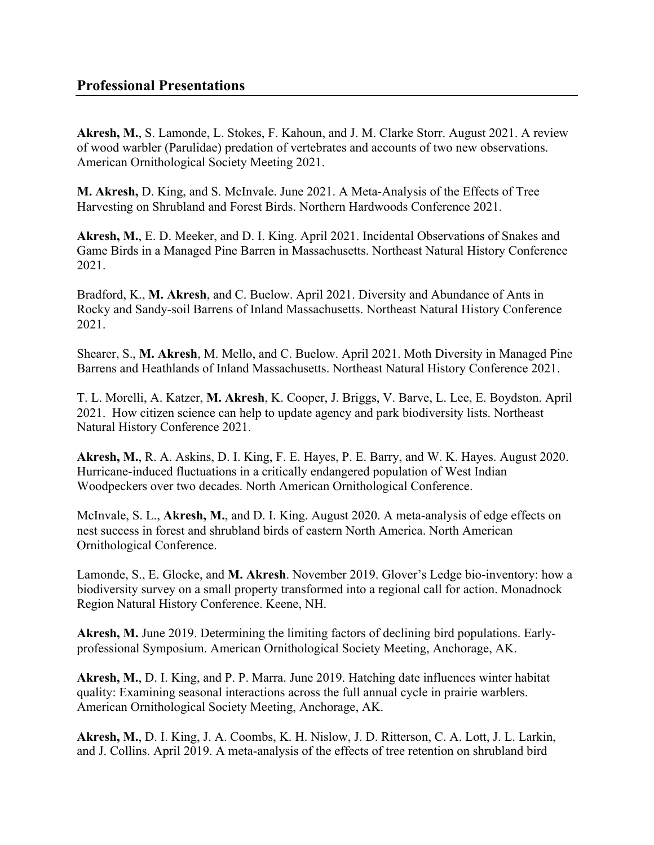**Akresh, M.**, S. Lamonde, L. Stokes, F. Kahoun, and J. M. Clarke Storr. August 2021. A review of wood warbler (Parulidae) predation of vertebrates and accounts of two new observations. American Ornithological Society Meeting 2021.

**M. Akresh,** D. King, and S. McInvale. June 2021. A Meta-Analysis of the Effects of Tree Harvesting on Shrubland and Forest Birds. Northern Hardwoods Conference 2021.

**Akresh, M.**, E. D. Meeker, and D. I. King. April 2021. Incidental Observations of Snakes and Game Birds in a Managed Pine Barren in Massachusetts. Northeast Natural History Conference 2021.

Bradford, K., **M. Akresh**, and C. Buelow. April 2021. Diversity and Abundance of Ants in Rocky and Sandy-soil Barrens of Inland Massachusetts. Northeast Natural History Conference 2021.

Shearer, S., **M. Akresh**, M. Mello, and C. Buelow. April 2021. Moth Diversity in Managed Pine Barrens and Heathlands of Inland Massachusetts. Northeast Natural History Conference 2021.

T. L. Morelli, A. Katzer, **M. Akresh**, K. Cooper, J. Briggs, V. Barve, L. Lee, E. Boydston. April 2021. How citizen science can help to update agency and park biodiversity lists. Northeast Natural History Conference 2021.

**Akresh, M.**, R. A. Askins, D. I. King, F. E. Hayes, P. E. Barry, and W. K. Hayes. August 2020. Hurricane-induced fluctuations in a critically endangered population of West Indian Woodpeckers over two decades. North American Ornithological Conference.

McInvale, S. L., **Akresh, M.**, and D. I. King. August 2020. A meta-analysis of edge effects on nest success in forest and shrubland birds of eastern North America. North American Ornithological Conference.

Lamonde, S., E. Glocke, and **M. Akresh**. November 2019. Glover's Ledge bio-inventory: how a biodiversity survey on a small property transformed into a regional call for action. Monadnock Region Natural History Conference. Keene, NH.

**Akresh, M.** June 2019. Determining the limiting factors of declining bird populations. Earlyprofessional Symposium. American Ornithological Society Meeting, Anchorage, AK.

**Akresh, M.**, D. I. King, and P. P. Marra. June 2019. Hatching date influences winter habitat quality: Examining seasonal interactions across the full annual cycle in prairie warblers. American Ornithological Society Meeting, Anchorage, AK.

**Akresh, M.**, D. I. King, J. A. Coombs, K. H. Nislow, J. D. Ritterson, C. A. Lott, J. L. Larkin, and J. Collins. April 2019. A meta-analysis of the effects of tree retention on shrubland bird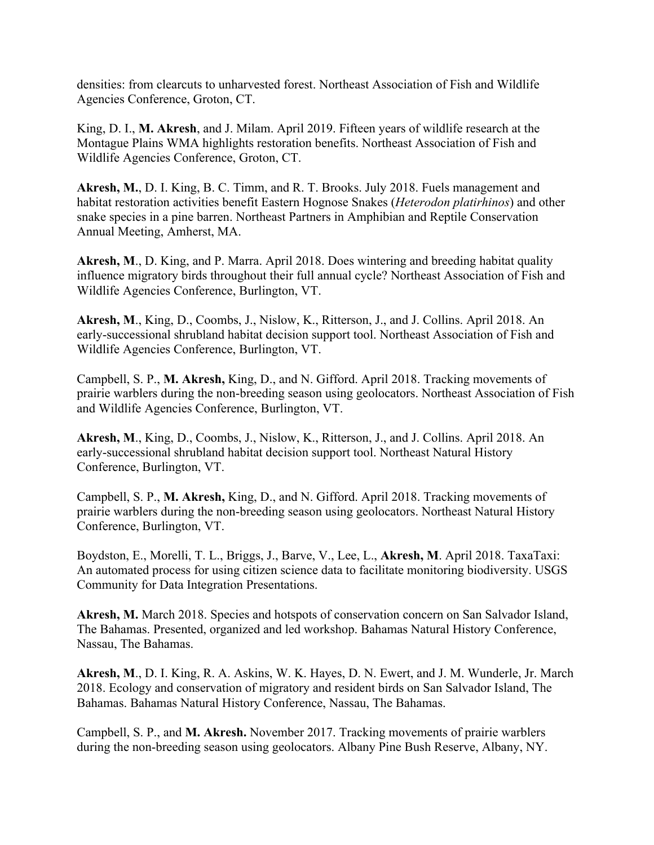densities: from clearcuts to unharvested forest. Northeast Association of Fish and Wildlife Agencies Conference, Groton, CT.

King, D. I., **M. Akresh**, and J. Milam. April 2019. Fifteen years of wildlife research at the Montague Plains WMA highlights restoration benefits. Northeast Association of Fish and Wildlife Agencies Conference, Groton, CT.

**Akresh, M.**, D. I. King, B. C. Timm, and R. T. Brooks. July 2018. Fuels management and habitat restoration activities benefit Eastern Hognose Snakes (*Heterodon platirhinos*) and other snake species in a pine barren. Northeast Partners in Amphibian and Reptile Conservation Annual Meeting, Amherst, MA.

**Akresh, M**., D. King, and P. Marra. April 2018. Does wintering and breeding habitat quality influence migratory birds throughout their full annual cycle? Northeast Association of Fish and Wildlife Agencies Conference, Burlington, VT.

**Akresh, M**., King, D., Coombs, J., Nislow, K., Ritterson, J., and J. Collins. April 2018. An early-successional shrubland habitat decision support tool. Northeast Association of Fish and Wildlife Agencies Conference, Burlington, VT.

Campbell, S. P., **M. Akresh,** King, D., and N. Gifford. April 2018. Tracking movements of prairie warblers during the non-breeding season using geolocators. Northeast Association of Fish and Wildlife Agencies Conference, Burlington, VT.

**Akresh, M**., King, D., Coombs, J., Nislow, K., Ritterson, J., and J. Collins. April 2018. An early-successional shrubland habitat decision support tool. Northeast Natural History Conference, Burlington, VT.

Campbell, S. P., **M. Akresh,** King, D., and N. Gifford. April 2018. Tracking movements of prairie warblers during the non-breeding season using geolocators. Northeast Natural History Conference, Burlington, VT.

Boydston, E., Morelli, T. L., Briggs, J., Barve, V., Lee, L., **Akresh, M**. April 2018. TaxaTaxi: An automated process for using citizen science data to facilitate monitoring biodiversity. USGS Community for Data Integration Presentations.

**Akresh, M.** March 2018. Species and hotspots of conservation concern on San Salvador Island, The Bahamas. Presented, organized and led workshop. Bahamas Natural History Conference, Nassau, The Bahamas.

**Akresh, M**., D. I. King, R. A. Askins, W. K. Hayes, D. N. Ewert, and J. M. Wunderle, Jr. March 2018. Ecology and conservation of migratory and resident birds on San Salvador Island, The Bahamas. Bahamas Natural History Conference, Nassau, The Bahamas.

Campbell, S. P., and **M. Akresh.** November 2017. Tracking movements of prairie warblers during the non-breeding season using geolocators. Albany Pine Bush Reserve, Albany, NY.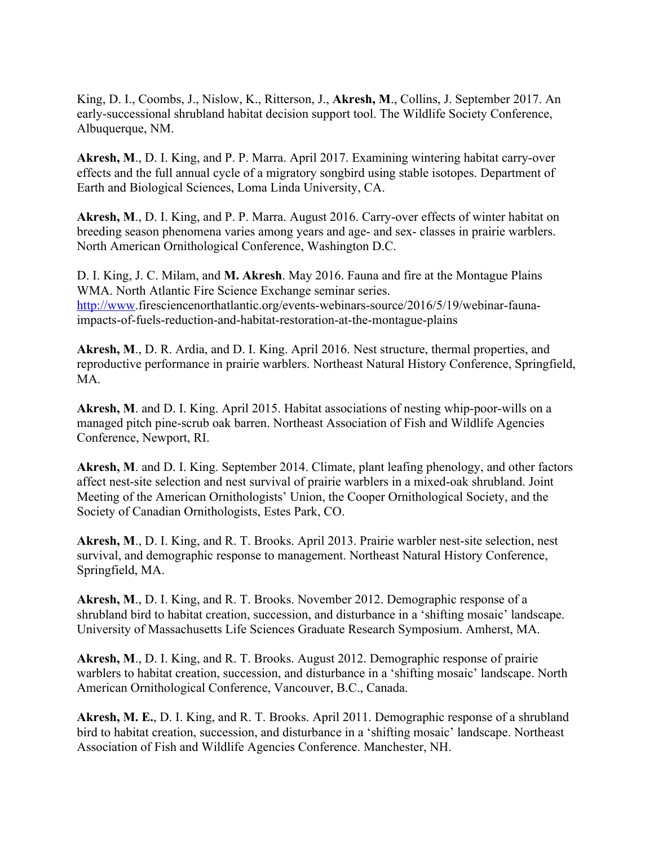King, D. I., Coombs, J., Nislow, K., Ritterson, J., **Akresh, M**., Collins, J. September 2017. An early-successional shrubland habitat decision support tool. The Wildlife Society Conference, Albuquerque, NM.

**Akresh, M**., D. I. King, and P. P. Marra. April 2017. Examining wintering habitat carry-over effects and the full annual cycle of a migratory songbird using stable isotopes. Department of Earth and Biological Sciences, Loma Linda University, CA.

**Akresh, M**., D. I. King, and P. P. Marra. August 2016. Carry-over effects of winter habitat on breeding season phenomena varies among years and age- and sex- classes in prairie warblers. North American Ornithological Conference, Washington D.C.

D. I. King, J. C. Milam, and **M. Akresh**. May 2016. Fauna and fire at the Montague Plains WMA. North Atlantic Fire Science Exchange seminar series. http://www.firesciencenorthatlantic.org/events-webinars-source/2016/5/19/webinar-faunaimpacts-of-fuels-reduction-and-habitat-restoration-at-the-montague-plains

**Akresh, M**., D. R. Ardia, and D. I. King. April 2016. Nest structure, thermal properties, and reproductive performance in prairie warblers. Northeast Natural History Conference, Springfield, MA.

**Akresh, M**. and D. I. King. April 2015. Habitat associations of nesting whip-poor-wills on a managed pitch pine-scrub oak barren. Northeast Association of Fish and Wildlife Agencies Conference, Newport, RI.

**Akresh, M**. and D. I. King. September 2014. Climate, plant leafing phenology, and other factors affect nest-site selection and nest survival of prairie warblers in a mixed-oak shrubland. Joint Meeting of the American Ornithologists' Union, the Cooper Ornithological Society, and the Society of Canadian Ornithologists, Estes Park, CO.

**Akresh, M**., D. I. King, and R. T. Brooks. April 2013. Prairie warbler nest-site selection, nest survival, and demographic response to management. Northeast Natural History Conference, Springfield, MA.

**Akresh, M**., D. I. King, and R. T. Brooks. November 2012. Demographic response of a shrubland bird to habitat creation, succession, and disturbance in a 'shifting mosaic' landscape. University of Massachusetts Life Sciences Graduate Research Symposium. Amherst, MA.

**Akresh, M**., D. I. King, and R. T. Brooks. August 2012. Demographic response of prairie warblers to habitat creation, succession, and disturbance in a 'shifting mosaic' landscape. North American Ornithological Conference, Vancouver, B.C., Canada.

**Akresh, M. E.**, D. I. King, and R. T. Brooks. April 2011. Demographic response of a shrubland bird to habitat creation, succession, and disturbance in a 'shifting mosaic' landscape. Northeast Association of Fish and Wildlife Agencies Conference. Manchester, NH.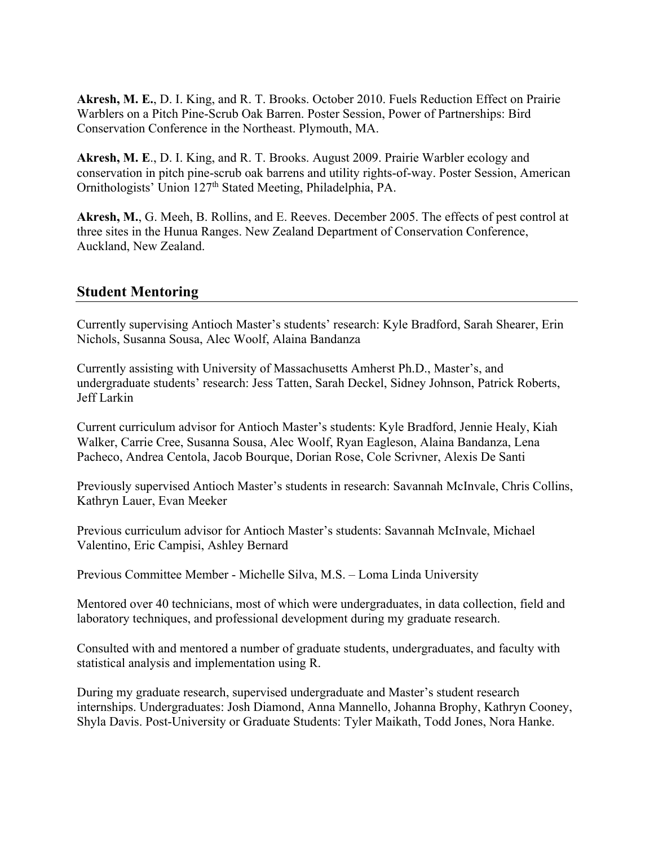**Akresh, M. E.**, D. I. King, and R. T. Brooks. October 2010. Fuels Reduction Effect on Prairie Warblers on a Pitch Pine-Scrub Oak Barren. Poster Session, Power of Partnerships: Bird Conservation Conference in the Northeast. Plymouth, MA.

**Akresh, M. E**., D. I. King, and R. T. Brooks. August 2009. Prairie Warbler ecology and conservation in pitch pine-scrub oak barrens and utility rights-of-way. Poster Session, American Ornithologists' Union 127th Stated Meeting, Philadelphia, PA.

**Akresh, M.**, G. Meeh, B. Rollins, and E. Reeves. December 2005. The effects of pest control at three sites in the Hunua Ranges. New Zealand Department of Conservation Conference, Auckland, New Zealand.

# **Student Mentoring**

Currently supervising Antioch Master's students' research: Kyle Bradford, Sarah Shearer, Erin Nichols, Susanna Sousa, Alec Woolf, Alaina Bandanza

Currently assisting with University of Massachusetts Amherst Ph.D., Master's, and undergraduate students' research: Jess Tatten, Sarah Deckel, Sidney Johnson, Patrick Roberts, Jeff Larkin

Current curriculum advisor for Antioch Master's students: Kyle Bradford, Jennie Healy, Kiah Walker, Carrie Cree, Susanna Sousa, Alec Woolf, Ryan Eagleson, Alaina Bandanza, Lena Pacheco, Andrea Centola, Jacob Bourque, Dorian Rose, Cole Scrivner, Alexis De Santi

Previously supervised Antioch Master's students in research: Savannah McInvale, Chris Collins, Kathryn Lauer, Evan Meeker

Previous curriculum advisor for Antioch Master's students: Savannah McInvale, Michael Valentino, Eric Campisi, Ashley Bernard

Previous Committee Member - Michelle Silva, M.S. – Loma Linda University

Mentored over 40 technicians, most of which were undergraduates, in data collection, field and laboratory techniques, and professional development during my graduate research.

Consulted with and mentored a number of graduate students, undergraduates, and faculty with statistical analysis and implementation using R.

During my graduate research, supervised undergraduate and Master's student research internships. Undergraduates: Josh Diamond, Anna Mannello, Johanna Brophy, Kathryn Cooney, Shyla Davis. Post-University or Graduate Students: Tyler Maikath, Todd Jones, Nora Hanke.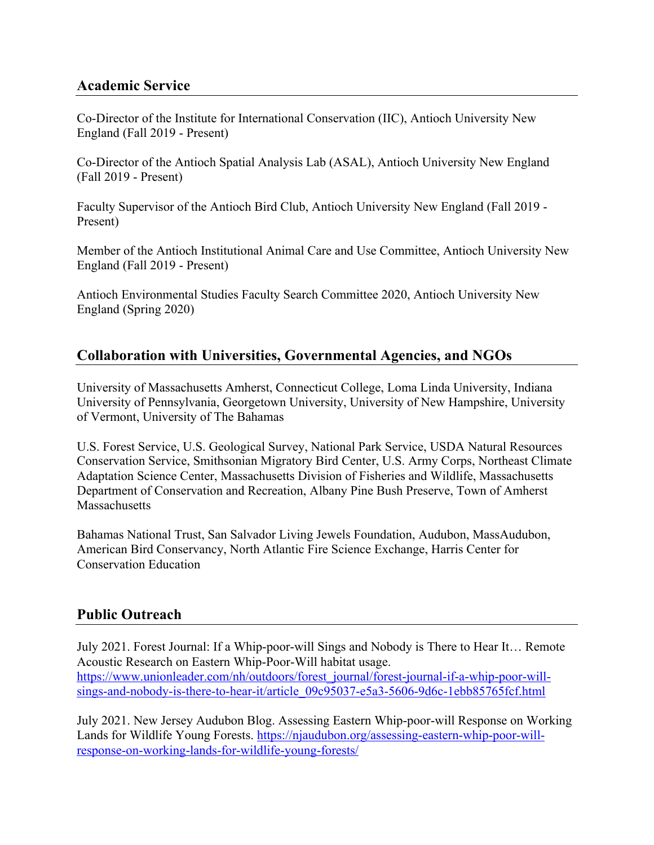# **Academic Service**

Co-Director of the Institute for International Conservation (IIC), Antioch University New England (Fall 2019 - Present)

Co-Director of the Antioch Spatial Analysis Lab (ASAL), Antioch University New England (Fall 2019 - Present)

Faculty Supervisor of the Antioch Bird Club, Antioch University New England (Fall 2019 - Present)

Member of the Antioch Institutional Animal Care and Use Committee, Antioch University New England (Fall 2019 - Present)

Antioch Environmental Studies Faculty Search Committee 2020, Antioch University New England (Spring 2020)

# **Collaboration with Universities, Governmental Agencies, and NGOs**

University of Massachusetts Amherst, Connecticut College, Loma Linda University, Indiana University of Pennsylvania, Georgetown University, University of New Hampshire, University of Vermont, University of The Bahamas

U.S. Forest Service, U.S. Geological Survey, National Park Service, USDA Natural Resources Conservation Service, Smithsonian Migratory Bird Center, U.S. Army Corps, Northeast Climate Adaptation Science Center, Massachusetts Division of Fisheries and Wildlife, Massachusetts Department of Conservation and Recreation, Albany Pine Bush Preserve, Town of Amherst **Massachusetts** 

Bahamas National Trust, San Salvador Living Jewels Foundation, Audubon, MassAudubon, American Bird Conservancy, North Atlantic Fire Science Exchange, Harris Center for Conservation Education

# **Public Outreach**

July 2021. Forest Journal: If a Whip-poor-will Sings and Nobody is There to Hear It… Remote Acoustic Research on Eastern Whip-Poor-Will habitat usage. https://www.unionleader.com/nh/outdoors/forest\_journal/forest-journal-if-a-whip-poor-willsings-and-nobody-is-there-to-hear-it/article\_09c95037-e5a3-5606-9d6c-1ebb85765fcf.html

July 2021. New Jersey Audubon Blog. Assessing Eastern Whip-poor-will Response on Working Lands for Wildlife Young Forests. https://njaudubon.org/assessing-eastern-whip-poor-willresponse-on-working-lands-for-wildlife-young-forests/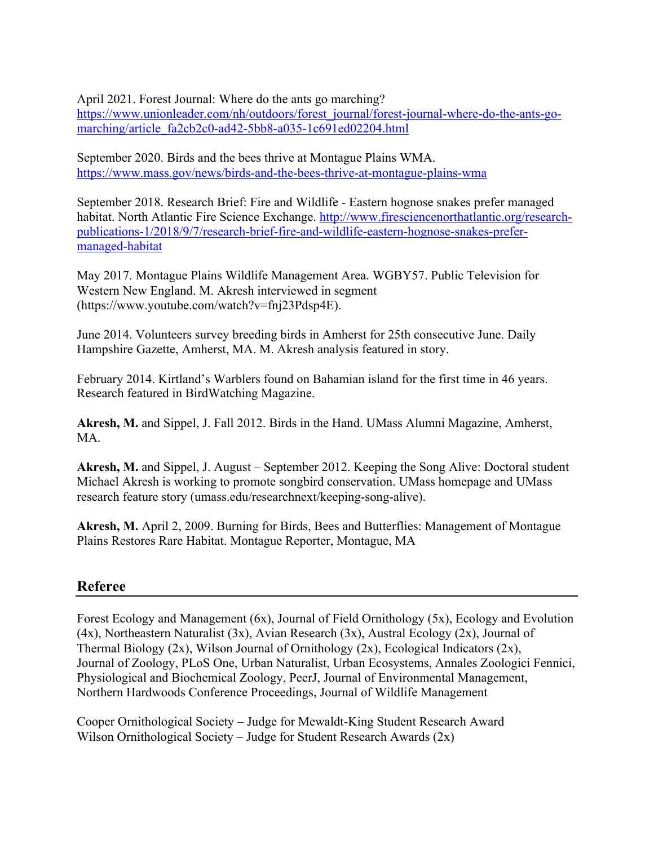April 2021. Forest Journal: Where do the ants go marching?

https://www.unionleader.com/nh/outdoors/forest\_journal/forest-journal-where-do-the-ants-gomarching/article\_fa2cb2c0-ad42-5bb8-a035-1c691ed02204.html

September 2020. Birds and the bees thrive at Montague Plains WMA. https://www.mass.gov/news/birds-and-the-bees-thrive-at-montague-plains-wma

September 2018. Research Brief: Fire and Wildlife - Eastern hognose snakes prefer managed habitat. North Atlantic Fire Science Exchange. http://www.firesciencenorthatlantic.org/researchpublications-1/2018/9/7/research-brief-fire-and-wildlife-eastern-hognose-snakes-prefermanaged-habitat

May 2017. Montague Plains Wildlife Management Area. WGBY57. Public Television for Western New England. M. Akresh interviewed in segment (https://www.youtube.com/watch?v=fnj23Pdsp4E).

June 2014. Volunteers survey breeding birds in Amherst for 25th consecutive June. Daily Hampshire Gazette, Amherst, MA. M. Akresh analysis featured in story.

February 2014. Kirtland's Warblers found on Bahamian island for the first time in 46 years. Research featured in BirdWatching Magazine.

**Akresh, M.** and Sippel, J. Fall 2012. Birds in the Hand. UMass Alumni Magazine, Amherst, MA.

**Akresh, M.** and Sippel, J. August – September 2012. Keeping the Song Alive: Doctoral student Michael Akresh is working to promote songbird conservation. UMass homepage and UMass research feature story (umass.edu/researchnext/keeping-song-alive).

**Akresh, M.** April 2, 2009. Burning for Birds, Bees and Butterflies: Management of Montague Plains Restores Rare Habitat. Montague Reporter, Montague, MA

# **Referee**

Forest Ecology and Management (6x), Journal of Field Ornithology (5x), Ecology and Evolution (4x), Northeastern Naturalist (3x), Avian Research (3x), Austral Ecology (2x), Journal of Thermal Biology (2x), Wilson Journal of Ornithology (2x), Ecological Indicators (2x), Journal of Zoology, PLoS One, Urban Naturalist, Urban Ecosystems, Annales Zoologici Fennici, Physiological and Biochemical Zoology, PeerJ, Journal of Environmental Management, Northern Hardwoods Conference Proceedings, Journal of Wildlife Management

Cooper Ornithological Society – Judge for Mewaldt-King Student Research Award Wilson Ornithological Society – Judge for Student Research Awards  $(2x)$